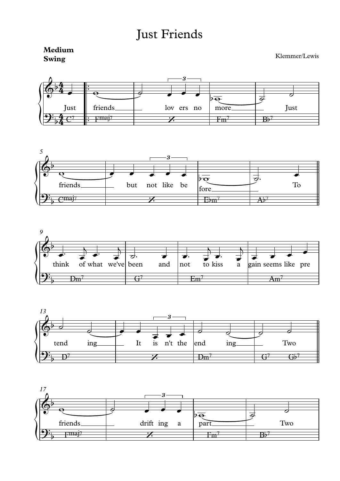## **Just Friends**